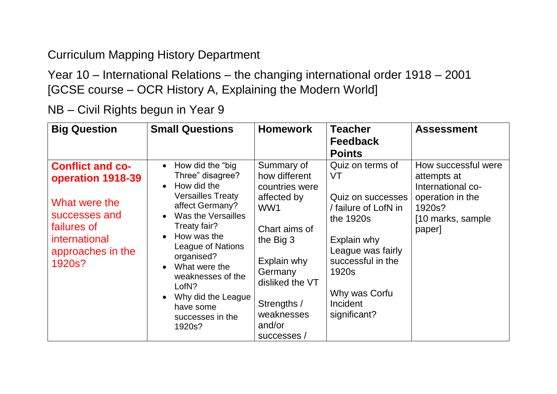## Curriculum Mapping History Department

Year 10 – International Relations – the changing international order 1918 – 2001 [GCSE course – OCR History A, Explaining the Modern World]

NB – Civil Rights begun in Year 9

| <b>Big Question</b>                                                                                                                           | <b>Small Questions</b>                                                                                                                                                                                                                                                                                            | <b>Homework</b>                                                                                                                                                                                      | <b>Teacher</b><br><b>Feedback</b><br><b>Points</b>                                                                                                                                              | <b>Assessment</b>                                                                                                    |
|-----------------------------------------------------------------------------------------------------------------------------------------------|-------------------------------------------------------------------------------------------------------------------------------------------------------------------------------------------------------------------------------------------------------------------------------------------------------------------|------------------------------------------------------------------------------------------------------------------------------------------------------------------------------------------------------|-------------------------------------------------------------------------------------------------------------------------------------------------------------------------------------------------|----------------------------------------------------------------------------------------------------------------------|
| <b>Conflict and co-</b><br>operation 1918-39<br>What were the<br>successes and<br>failures of<br>international<br>approaches in the<br>1920s? | How did the "big<br>Three" disagree?<br>How did the<br><b>Versailles Treaty</b><br>affect Germany?<br>Was the Versailles<br>Treaty fair?<br>How was the<br><b>League of Nations</b><br>organised?<br>What were the<br>weaknesses of the<br>LofN?<br>Why did the League<br>have some<br>successes in the<br>1920s? | Summary of<br>how different<br>countries were<br>affected by<br>WW1<br>Chart aims of<br>the Big 3<br>Explain why<br>Germany<br>disliked the VT<br>Strengths /<br>weaknesses<br>and/or<br>successes / | Quiz on terms of<br>VT<br>Quiz on successes<br>/ failure of LofN in<br>the 1920s<br>Explain why<br>League was fairly<br>successful in the<br>1920s<br>Why was Corfu<br>Incident<br>significant? | How successful were<br>attempts at<br>International co-<br>operation in the<br>1920s?<br>[10 marks, sample<br>paper] |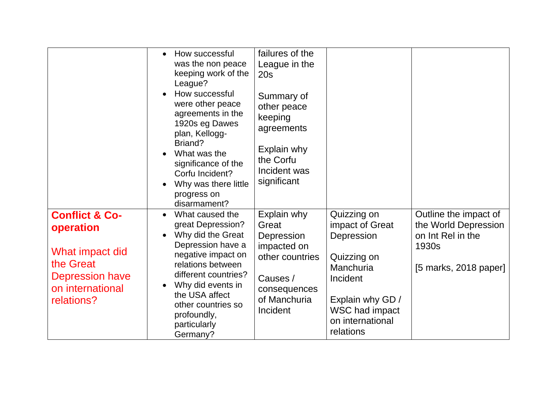|                                                                                                                             | How successful<br>was the non peace<br>keeping work of the<br>League?<br>How successful<br>were other peace<br>agreements in the<br>1920s eg Dawes<br>plan, Kellogg-<br>Briand?                                                                           | failures of the<br>League in the<br>20s<br>Summary of<br>other peace<br>keeping<br>agreements<br>Explain why                 |                                                                                                                                                                    |                                                                                                      |
|-----------------------------------------------------------------------------------------------------------------------------|-----------------------------------------------------------------------------------------------------------------------------------------------------------------------------------------------------------------------------------------------------------|------------------------------------------------------------------------------------------------------------------------------|--------------------------------------------------------------------------------------------------------------------------------------------------------------------|------------------------------------------------------------------------------------------------------|
|                                                                                                                             | What was the<br>significance of the<br>Corfu Incident?<br>Why was there little<br>progress on<br>disarmament?                                                                                                                                             | the Corfu<br>Incident was<br>significant                                                                                     |                                                                                                                                                                    |                                                                                                      |
| <b>Conflict &amp; Co-</b><br>operation<br>What impact did<br>the Great<br>Depression have<br>on international<br>relations? | What caused the<br>great Depression?<br>Why did the Great<br>Depression have a<br>negative impact on<br>relations between<br>different countries?<br>Why did events in<br>the USA affect<br>other countries so<br>profoundly,<br>particularly<br>Germany? | Explain why<br>Great<br>Depression<br>impacted on<br>other countries<br>Causes /<br>consequences<br>of Manchuria<br>Incident | Quizzing on<br>impact of Great<br>Depression<br>Quizzing on<br>Manchuria<br>Incident<br>Explain why GD /<br><b>WSC had impact</b><br>on international<br>relations | Outline the impact of<br>the World Depression<br>on Int Rel in the<br>1930s<br>[5 marks, 2018 paper] |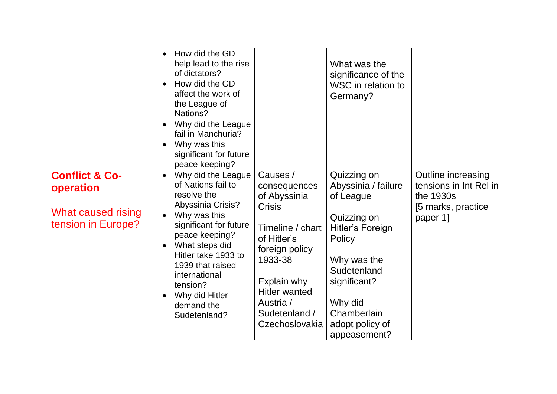|                                                                                    | How did the GD<br>$\bullet$<br>help lead to the rise<br>of dictators?<br>How did the GD<br>affect the work of<br>the League of<br>Nations?<br>Why did the League<br>fail in Manchuria?<br>Why was this<br>significant for future<br>peace keeping?                                                     |                                                                                                                                                                                                                  | What was the<br>significance of the<br>WSC in relation to<br>Germany?                                                                                                                                          |                                                                                             |
|------------------------------------------------------------------------------------|--------------------------------------------------------------------------------------------------------------------------------------------------------------------------------------------------------------------------------------------------------------------------------------------------------|------------------------------------------------------------------------------------------------------------------------------------------------------------------------------------------------------------------|----------------------------------------------------------------------------------------------------------------------------------------------------------------------------------------------------------------|---------------------------------------------------------------------------------------------|
| <b>Conflict &amp; Co-</b><br>operation<br>What caused rising<br>tension in Europe? | Why did the League<br>$\bullet$<br>of Nations fail to<br>resolve the<br><b>Abyssinia Crisis?</b><br>Why was this<br>significant for future<br>peace keeping?<br>What steps did<br>Hitler take 1933 to<br>1939 that raised<br>international<br>tension?<br>Why did Hitler<br>demand the<br>Sudetenland? | Causes /<br>consequences<br>of Abyssinia<br><b>Crisis</b><br>Timeline / chart<br>of Hitler's<br>foreign policy<br>1933-38<br>Explain why<br><b>Hitler wanted</b><br>Austria /<br>Sudetenland /<br>Czechoslovakia | Quizzing on<br>Abyssinia / failure<br>of League<br>Quizzing on<br><b>Hitler's Foreign</b><br>Policy<br>Why was the<br>Sudetenland<br>significant?<br>Why did<br>Chamberlain<br>adopt policy of<br>appeasement? | Outline increasing<br>tensions in Int Rel in<br>the 1930s<br>[5 marks, practice<br>paper 1] |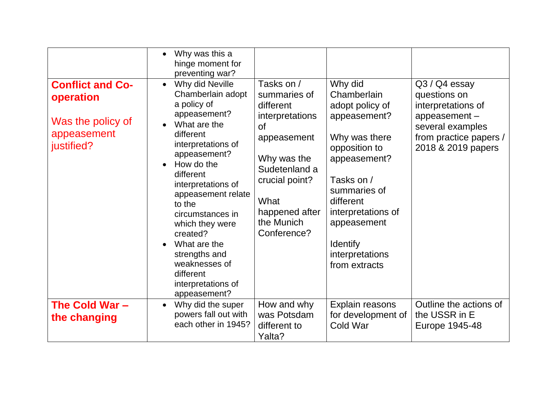|                                                                                        | Why was this a<br>$\bullet$<br>hinge moment for<br>preventing war?                                                                                                                                                                                                                                                                                                                           |                                                                                                                                                                                                     |                                                                                                                                                                                                                                                    |                                                                                                                                         |
|----------------------------------------------------------------------------------------|----------------------------------------------------------------------------------------------------------------------------------------------------------------------------------------------------------------------------------------------------------------------------------------------------------------------------------------------------------------------------------------------|-----------------------------------------------------------------------------------------------------------------------------------------------------------------------------------------------------|----------------------------------------------------------------------------------------------------------------------------------------------------------------------------------------------------------------------------------------------------|-----------------------------------------------------------------------------------------------------------------------------------------|
| <b>Conflict and Co-</b><br>operation<br>Was the policy of<br>appeasement<br>justified? | Why did Neville<br>$\bullet$<br>Chamberlain adopt<br>a policy of<br>appeasement?<br>What are the<br>different<br>interpretations of<br>appeasement?<br>How do the<br>different<br>interpretations of<br>appeasement relate<br>to the<br>circumstances in<br>which they were<br>created?<br>What are the<br>strengths and<br>weaknesses of<br>different<br>interpretations of<br>appeasement? | Tasks on /<br>summaries of<br>different<br>interpretations<br><sub>of</sub><br>appeasement<br>Why was the<br>Sudetenland a<br>crucial point?<br>What<br>happened after<br>the Munich<br>Conference? | Why did<br>Chamberlain<br>adopt policy of<br>appeasement?<br>Why was there<br>opposition to<br>appeasement?<br>Tasks on /<br>summaries of<br>different<br>interpretations of<br>appeasement<br><b>Identify</b><br>interpretations<br>from extracts | Q3 / Q4 essay<br>questions on<br>interpretations of<br>appeasement-<br>several examples<br>from practice papers /<br>2018 & 2019 papers |
| The Cold War -<br>the changing                                                         | Why did the super<br>$\bullet$<br>powers fall out with<br>each other in 1945?                                                                                                                                                                                                                                                                                                                | How and why<br>was Potsdam<br>different to<br>Yalta?                                                                                                                                                | Explain reasons<br>for development of<br>Cold War                                                                                                                                                                                                  | Outline the actions of<br>the USSR in E<br>Europe 1945-48                                                                               |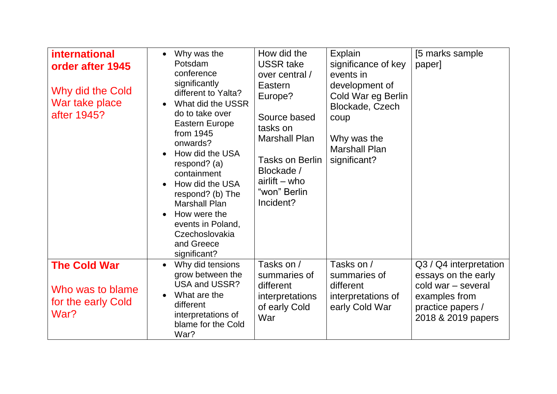| <b>international</b><br>order after 1945<br>Why did the Cold<br>War take place<br>after 1945? | Why was the<br>$\bullet$<br>Potsdam<br>conference<br>significantly<br>different to Yalta?<br>What did the USSR<br>do to take over<br>Eastern Europe<br>from 1945<br>onwards?<br>How did the USA<br>respond? (a)<br>containment<br>How did the USA<br>respond? (b) The<br><b>Marshall Plan</b><br>How were the<br>events in Poland,<br>Czechoslovakia<br>and Greece<br>significant? | How did the<br><b>USSR take</b><br>over central /<br>Eastern<br>Europe?<br>Source based<br>tasks on<br><b>Marshall Plan</b><br><b>Tasks on Berlin</b><br>Blockade /<br>$airlift - who$<br>"won" Berlin<br>Incident? | Explain<br>significance of key<br>events in<br>development of<br>Cold War eg Berlin<br>Blockade, Czech<br>coup<br>Why was the<br><b>Marshall Plan</b><br>significant? | [5 marks sample<br>paper]                                                                                                       |
|-----------------------------------------------------------------------------------------------|------------------------------------------------------------------------------------------------------------------------------------------------------------------------------------------------------------------------------------------------------------------------------------------------------------------------------------------------------------------------------------|---------------------------------------------------------------------------------------------------------------------------------------------------------------------------------------------------------------------|-----------------------------------------------------------------------------------------------------------------------------------------------------------------------|---------------------------------------------------------------------------------------------------------------------------------|
| <b>The Cold War</b><br>Who was to blame<br>for the early Cold<br>War?                         | Why did tensions<br>$\bullet$<br>grow between the<br><b>USA and USSR?</b><br>What are the<br>different<br>interpretations of<br>blame for the Cold<br>War?                                                                                                                                                                                                                         | Tasks on /<br>summaries of<br>different<br>interpretations<br>of early Cold<br>War                                                                                                                                  | Tasks on /<br>summaries of<br>different<br>interpretations of<br>early Cold War                                                                                       | Q3 / Q4 interpretation<br>essays on the early<br>cold war - several<br>examples from<br>practice papers /<br>2018 & 2019 papers |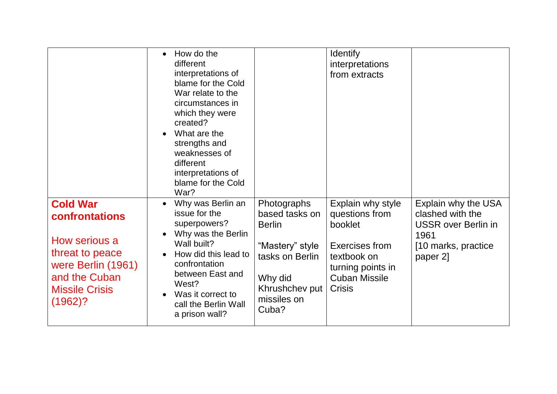|                                                                                                                                                     | How do the<br>different<br>interpretations of<br>blame for the Cold<br>War relate to the<br>circumstances in<br>which they were<br>created?<br>What are the<br>$\bullet$<br>strengths and<br>weaknesses of<br>different<br>interpretations of<br>blame for the Cold<br>War? |                                                                                                                                           | <b>Identify</b><br>interpretations<br>from extracts                                                                                           |                                                                                                                   |
|-----------------------------------------------------------------------------------------------------------------------------------------------------|-----------------------------------------------------------------------------------------------------------------------------------------------------------------------------------------------------------------------------------------------------------------------------|-------------------------------------------------------------------------------------------------------------------------------------------|-----------------------------------------------------------------------------------------------------------------------------------------------|-------------------------------------------------------------------------------------------------------------------|
| <b>Cold War</b><br>confrontations<br>How serious a<br>threat to peace<br>were Berlin (1961)<br>and the Cuban<br><b>Missile Crisis</b><br>$(1962)$ ? | Why was Berlin an<br>issue for the<br>superpowers?<br>Why was the Berlin<br>Wall built?<br>How did this lead to<br>confrontation<br>between East and<br>West?<br>Was it correct to<br>call the Berlin Wall<br>a prison wall?                                                | Photographs<br>based tasks on<br><b>Berlin</b><br>"Mastery" style<br>tasks on Berlin<br>Why did<br>Khrushchev put<br>missiles on<br>Cuba? | Explain why style<br>questions from<br>booklet<br>Exercises from<br>textbook on<br>turning points in<br><b>Cuban Missile</b><br><b>Crisis</b> | Explain why the USA<br>clashed with the<br><b>USSR</b> over Berlin in<br>1961<br>[10 marks, practice]<br>paper 2] |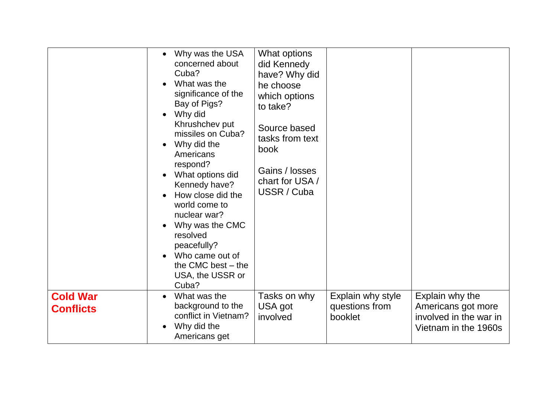|                                     | Why was the USA<br>$\bullet$<br>concerned about<br>Cuba?<br>What was the<br>significance of the<br>Bay of Pigs?<br>Why did<br>$\bullet$<br>Khrushchev put<br>missiles on Cuba?<br>Why did the<br>$\bullet$<br>Americans<br>respond?<br>What options did<br>Kennedy have?<br>How close did the<br>world come to<br>nuclear war?<br>Why was the CMC<br>resolved<br>peacefully?<br>Who came out of<br>the CMC best $-$ the<br>USA, the USSR or<br>Cuba? | What options<br>did Kennedy<br>have? Why did<br>he choose<br>which options<br>to take?<br>Source based<br>tasks from text<br>book<br>Gains / losses<br>chart for USA /<br>USSR / Cuba |                                                |                                                                                         |
|-------------------------------------|------------------------------------------------------------------------------------------------------------------------------------------------------------------------------------------------------------------------------------------------------------------------------------------------------------------------------------------------------------------------------------------------------------------------------------------------------|---------------------------------------------------------------------------------------------------------------------------------------------------------------------------------------|------------------------------------------------|-----------------------------------------------------------------------------------------|
| <b>Cold War</b><br><b>Conflicts</b> | What was the<br>$\bullet$<br>background to the<br>conflict in Vietnam?<br>Why did the<br>Americans get                                                                                                                                                                                                                                                                                                                                               | Tasks on why<br>USA got<br>involved                                                                                                                                                   | Explain why style<br>questions from<br>booklet | Explain why the<br>Americans got more<br>involved in the war in<br>Vietnam in the 1960s |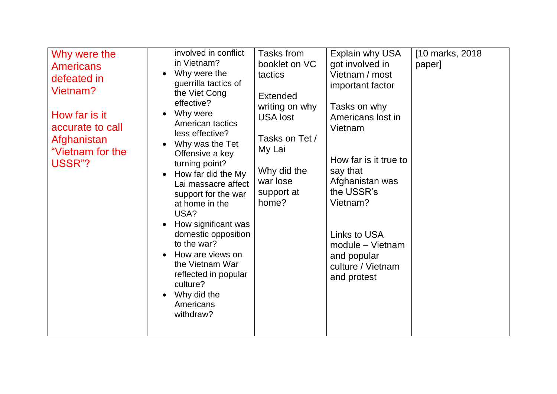| Why were the<br><b>Americans</b><br>defeated in<br>Vietnam?<br>How far is it<br>accurate to call<br>Afghanistan<br>"Vietnam for the<br>USSR"? | involved in conflict<br>in Vietnam?<br>Why were the<br>guerrilla tactics of<br>the Viet Cong<br>effective?<br>Why were<br>American tactics<br>less effective?<br>Why was the Tet<br>Offensive a key<br>turning point?<br>How far did the My<br>Lai massacre affect<br>support for the war<br>at home in the<br>USA?<br>How significant was<br>domestic opposition<br>to the war?<br>How are views on<br>the Vietnam War<br>reflected in popular<br>culture?<br>Why did the<br>Americans<br>withdraw? | Tasks from<br>booklet on VC<br>tactics<br>Extended<br>writing on why<br><b>USA lost</b><br>Tasks on Tet /<br>My Lai<br>Why did the<br>war lose<br>support at<br>home? | Explain why USA<br>got involved in<br>Vietnam / most<br>important factor<br>Tasks on why<br>Americans lost in<br>Vietnam<br>How far is it true to<br>say that<br>Afghanistan was<br>the USSR's<br>Vietnam?<br>Links to USA<br>module - Vietnam<br>and popular<br>culture / Vietnam<br>and protest | [10 marks, 2018]<br>paper] |
|-----------------------------------------------------------------------------------------------------------------------------------------------|------------------------------------------------------------------------------------------------------------------------------------------------------------------------------------------------------------------------------------------------------------------------------------------------------------------------------------------------------------------------------------------------------------------------------------------------------------------------------------------------------|-----------------------------------------------------------------------------------------------------------------------------------------------------------------------|---------------------------------------------------------------------------------------------------------------------------------------------------------------------------------------------------------------------------------------------------------------------------------------------------|----------------------------|
|-----------------------------------------------------------------------------------------------------------------------------------------------|------------------------------------------------------------------------------------------------------------------------------------------------------------------------------------------------------------------------------------------------------------------------------------------------------------------------------------------------------------------------------------------------------------------------------------------------------------------------------------------------------|-----------------------------------------------------------------------------------------------------------------------------------------------------------------------|---------------------------------------------------------------------------------------------------------------------------------------------------------------------------------------------------------------------------------------------------------------------------------------------------|----------------------------|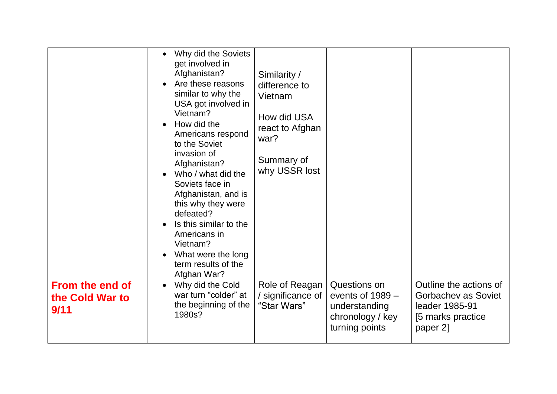|                                                   | Why did the Soviets<br>get involved in<br>Afghanistan?<br>Are these reasons<br>similar to why the<br>USA got involved in<br>Vietnam?<br>How did the<br>Americans respond<br>to the Soviet<br>invasion of<br>Afghanistan?<br>Who / what did the<br>Soviets face in<br>Afghanistan, and is<br>this why they were<br>defeated?<br>Is this similar to the<br>Americans in<br>Vietnam?<br>What were the long<br>term results of the<br>Afghan War? | Similarity /<br>difference to<br>Vietnam<br>How did USA<br>react to Afghan<br>war?<br>Summary of<br>why USSR lost |                                                                                           |                                                                                                  |
|---------------------------------------------------|-----------------------------------------------------------------------------------------------------------------------------------------------------------------------------------------------------------------------------------------------------------------------------------------------------------------------------------------------------------------------------------------------------------------------------------------------|-------------------------------------------------------------------------------------------------------------------|-------------------------------------------------------------------------------------------|--------------------------------------------------------------------------------------------------|
| <b>From the end of</b><br>the Cold War to<br>9/11 | Why did the Cold<br>$\bullet$<br>war turn "colder" at<br>the beginning of the<br>1980s?                                                                                                                                                                                                                                                                                                                                                       | Role of Reagan<br>/ significance of<br>"Star Wars"                                                                | Questions on<br>events of $1989 -$<br>understanding<br>chronology / key<br>turning points | Outline the actions of<br>Gorbachev as Soviet<br>leader 1985-91<br>[5 marks practice<br>paper 2] |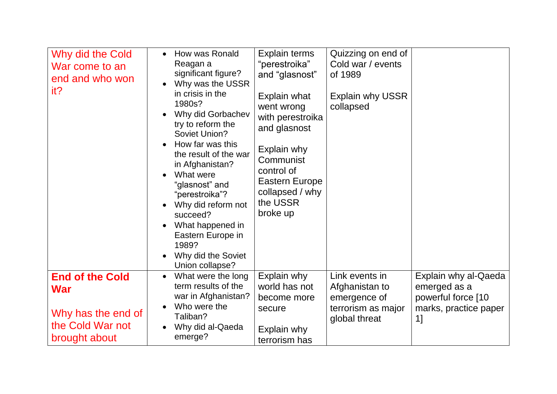| Why did the Cold<br>War come to an<br>end and who won<br>it?                                    | How was Ronald<br>$\bullet$<br>Reagan a<br>significant figure?<br>Why was the USSR<br>in crisis in the<br>1980s?<br>Why did Gorbachev<br>try to reform the<br>Soviet Union?<br>How far was this<br>the result of the war<br>in Afghanistan?<br>What were<br>"glasnost" and<br>"perestroika"?<br>Why did reform not<br>succeed?<br>What happened in<br>Eastern Europe in<br>1989?<br>Why did the Soviet<br>Union collapse? | Explain terms<br>"perestroika"<br>and "glasnost"<br>Explain what<br>went wrong<br>with perestroika<br>and glasnost<br>Explain why<br>Communist<br>control of<br><b>Eastern Europe</b><br>collapsed / why<br>the USSR<br>broke up | Quizzing on end of<br>Cold war / events<br>of 1989<br><b>Explain why USSR</b><br>collapsed |                                                                                           |
|-------------------------------------------------------------------------------------------------|---------------------------------------------------------------------------------------------------------------------------------------------------------------------------------------------------------------------------------------------------------------------------------------------------------------------------------------------------------------------------------------------------------------------------|----------------------------------------------------------------------------------------------------------------------------------------------------------------------------------------------------------------------------------|--------------------------------------------------------------------------------------------|-------------------------------------------------------------------------------------------|
| <b>End of the Cold</b><br><b>War</b><br>Why has the end of<br>the Cold War not<br>brought about | What were the long<br>term results of the<br>war in Afghanistan?<br>Who were the<br>Taliban?<br>Why did al-Qaeda<br>emerge?                                                                                                                                                                                                                                                                                               | Explain why<br>world has not<br>become more<br>secure<br>Explain why<br>terrorism has                                                                                                                                            | Link events in<br>Afghanistan to<br>emergence of<br>terrorism as major<br>global threat    | Explain why al-Qaeda<br>emerged as a<br>powerful force [10<br>marks, practice paper<br>1] |